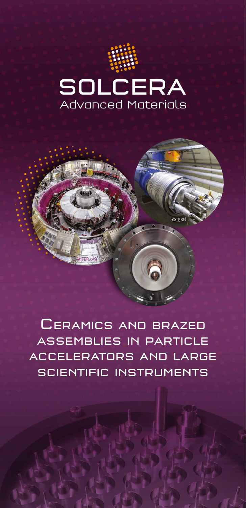



@CERN



@ITER.o<sup>r</sup>g